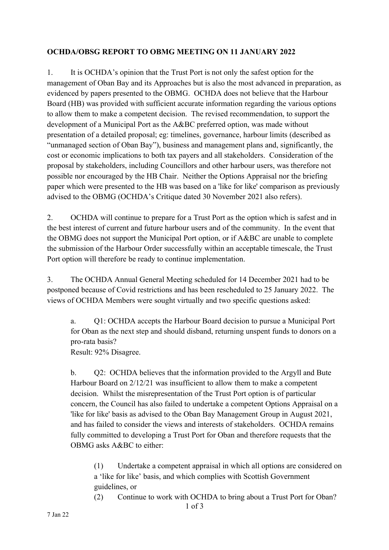## **OCHDA/OBSG REPORT TO OBMG MEETING ON 11 JANUARY 2022**

1. It is OCHDA's opinion that the Trust Port is not only the safest option for the management of Oban Bay and its Approaches but is also the most advanced in preparation, as evidenced by papers presented to the OBMG. OCHDA does not believe that the Harbour Board (HB) was provided with sufficient accurate information regarding the various options to allow them to make a competent decision. The revised recommendation, to support the development of a Municipal Port as the A&BC preferred option, was made without presentation of a detailed proposal; eg: timelines, governance, harbour limits (described as "unmanaged section of Oban Bay"), business and management plans and, significantly, the cost or economic implications to both tax payers and all stakeholders. Consideration of the proposal by stakeholders, including Councillors and other harbour users, was therefore not possible nor encouraged by the HB Chair. Neither the Options Appraisal nor the briefing paper which were presented to the HB was based on a 'like for like' comparison as previously advised to the OBMG (OCHDA's Critique dated 30 November 2021 also refers).

2. OCHDA will continue to prepare for a Trust Port as the option which is safest and in the best interest of current and future harbour users and of the community. In the event that the OBMG does not support the Municipal Port option, or if A&BC are unable to complete the submission of the Harbour Order successfully within an acceptable timescale, the Trust Port option will therefore be ready to continue implementation.

3. The OCHDA Annual General Meeting scheduled for 14 December 2021 had to be postponed because of Covid restrictions and has been rescheduled to 25 January 2022. The views of OCHDA Members were sought virtually and two specific questions asked:

a. Q1: OCHDA accepts the Harbour Board decision to pursue a Municipal Port for Oban as the next step and should disband, returning unspent funds to donors on a pro-rata basis?

Result: 92% Disagree.

b. Q2: OCHDA believes that the information provided to the Argyll and Bute Harbour Board on 2/12/21 was insufficient to allow them to make a competent decision. Whilst the misrepresentation of the Trust Port option is of particular concern, the Council has also failed to undertake a competent Options Appraisal on a 'like for like' basis as advised to the Oban Bay Management Group in August 2021, and has failed to consider the views and interests of stakeholders. OCHDA remains fully committed to developing a Trust Port for Oban and therefore requests that the OBMG asks A&BC to either:

(1) Undertake a competent appraisal in which all options are considered on a 'like for like' basis, and which complies with Scottish Government guidelines, or

(2) Continue to work with OCHDA to bring about a Trust Port for Oban?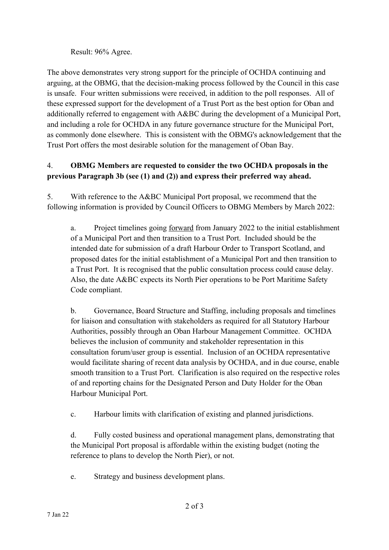Result: 96% Agree.

The above demonstrates very strong support for the principle of OCHDA continuing and arguing, at the OBMG, that the decision-making process followed by the Council in this case is unsafe. Four written submissions were received, in addition to the poll responses. All of these expressed support for the development of a Trust Port as the best option for Oban and additionally referred to engagement with A&BC during the development of a Municipal Port, and including a role for OCHDA in any future governance structure for the Municipal Port, as commonly done elsewhere. This is consistent with the OBMG's acknowledgement that the Trust Port offers the most desirable solution for the management of Oban Bay.

## 4. **OBMG Members are requested to consider the two OCHDA proposals in the previous Paragraph 3b (see (1) and (2)) and express their preferred way ahead.**

5. With reference to the A&BC Municipal Port proposal, we recommend that the following information is provided by Council Officers to OBMG Members by March 2022:

a. Project timelines going forward from January 2022 to the initial establishment of a Municipal Port and then transition to a Trust Port. Included should be the intended date for submission of a draft Harbour Order to Transport Scotland, and proposed dates for the initial establishment of a Municipal Port and then transition to a Trust Port. It is recognised that the public consultation process could cause delay. Also, the date A&BC expects its North Pier operations to be Port Maritime Safety Code compliant.

b. Governance, Board Structure and Staffing, including proposals and timelines for liaison and consultation with stakeholders as required for all Statutory Harbour Authorities, possibly through an Oban Harbour Management Committee. OCHDA believes the inclusion of community and stakeholder representation in this consultation forum/user group is essential. Inclusion of an OCHDA representative would facilitate sharing of recent data analysis by OCHDA, and in due course, enable smooth transition to a Trust Port. Clarification is also required on the respective roles of and reporting chains for the Designated Person and Duty Holder for the Oban Harbour Municipal Port.

c. Harbour limits with clarification of existing and planned jurisdictions.

d. Fully costed business and operational management plans, demonstrating that the Municipal Port proposal is affordable within the existing budget (noting the reference to plans to develop the North Pier), or not.

e. Strategy and business development plans.